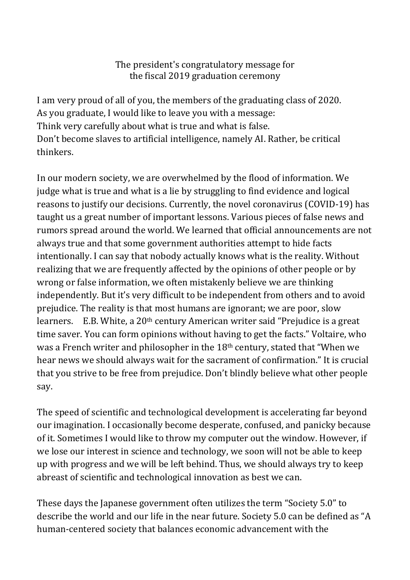# The president's congratulatory message for the fiscal 2019 graduation ceremony

I am very proud of all of you, the members of the graduating class of 2020. As you graduate, I would like to leave you with a message: Think very carefully about what is true and what is false. Don't become slaves to artificial intelligence, namely AI. Rather, be critical thinkers.

In our modern society, we are overwhelmed by the flood of information. We judge what is true and what is a lie by struggling to find evidence and logical reasons to justify our decisions. Currently, the novel coronavirus (COVID-19) has taught us a great number of important lessons. Various pieces of false news and rumors spread around the world. We learned that official announcements are not always true and that some government authorities attempt to hide facts intentionally. I can say that nobody actually knows what is the reality. Without realizing that we are frequently affected by the opinions of other people or by wrong or false information, we often mistakenly believe we are thinking independently. But it's very difficult to be independent from others and to avoid prejudice. The reality is that most humans are ignorant; we are poor, slow learners. E.B. White, a 20<sup>th</sup> century American writer said "Prejudice is a great time saver. You can form opinions without having to get the facts." Voltaire, who was a French writer and philosopher in the 18th century, stated that "When we hear news we should always wait for the sacrament of confirmation." It is crucial that you strive to be free from prejudice. Don't blindly believe what other people say.

The speed of scientific and technological development is accelerating far beyond our imagination. I occasionally become desperate, confused, and panicky because of it. Sometimes I would like to throw my computer out the window. However, if we lose our interest in science and technology, we soon will not be able to keep up with progress and we will be left behind. Thus, we should always try to keep abreast of scientific and technological innovation as best we can.

These days the Japanese government often utilizes the term "Society 5.0" to describe the world and our life in the near future. Society 5.0 can be defined as "A human-centered society that balances economic advancement with the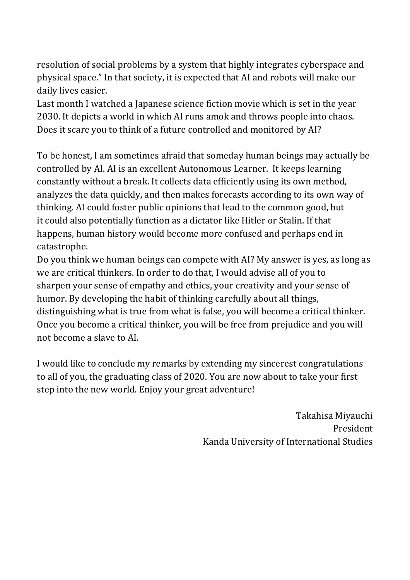resolution of social problems by a system that highly integrates cyberspace and physical space." In that society, it is expected that AI and robots will make our daily lives easier.

Last month I watched a Japanese science fiction movie which is set in the year 2030. It depicts a world in which AI runs amok and throws people into chaos. Does it scare you to think of a future controlled and monitored by AI?

To be honest, I am sometimes afraid that someday human beings may actually be controlled by AI. AI is an excellent Autonomous Learner. It keeps learning constantly without a break. It collects data efficiently using its own method, analyzes the data quickly, and then makes forecasts according to its own way of thinking. AI could foster public opinions that lead to the common good, but it could also potentially function as a dictator like Hitler or Stalin. If that happens, human history would become more confused and perhaps end in catastrophe.

Do you think we human beings can compete with AI? My answer is yes, as long as we are critical thinkers. In order to do that, I would advise all of you to sharpen your sense of empathy and ethics, your creativity and your sense of humor. By developing the habit of thinking carefully about all things, distinguishing what is true from what is false, you will become a critical thinker. Once you become a critical thinker, you will be free from prejudice and you will not become a slave to AI.

I would like to conclude my remarks by extending my sincerest congratulations to all of you, the graduating class of 2020. You are now about to take your first step into the new world. Enjoy your great adventure!

> Takahisa Miyauchi President Kanda University of International Studies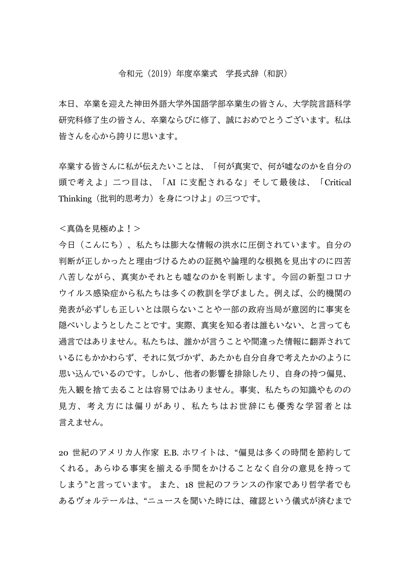### 令和元(2019)年度卒業式 学長式辞(和訳)

本日、卒業を迎えた神田外語大学外国語学部卒業生の皆さん、大学院言語科学 研究科修了生の皆さん、卒業ならびに修了、誠におめでとうございます。私は 皆さんを心から誇りに思います。

卒業する皆さんに私が伝えたいことは、「何が真実で、何が嘘なのかを自分の 頭で考えよ」二つ目は、「AI に支配されるな」そして最後は、「Critical Thinking(批判的思考力)を身につけよ」の三つです。

#### <真偽を見極めよ!>

今日(こんにち)、私たちは膨大な情報の洪水に圧倒されています。自分の 判断が正しかったと理由づけるための証拠や論理的な根拠を見出すのに四苦 八苦しながら、真実かそれとも嘘なのかを判断します。今回の新型コロナ ウイルス感染症から私たちは多くの教訓を学びました。例えば、公的機関の 発表が必ずしも正しいとは限らないことや一部の政府当局が意図的に事実を 隠ぺいしようとしたことです。実際、真実を知る者は誰もいない、と言っても 過言ではありません。私たちは、誰かが言うことや間違った情報に翻弄されて いるにもかかわらず、それに気づかず、あたかも自分自身で考えたかのように 思い込んでいるのです。しかし、他者の影響を排除したり、自身の持つ偏見、 先入観を捨て去ることは容易ではありません。事実、私たちの知識やものの 見方、考え方には偏りがあり、私たちはお世辞にも優秀な学習者とは 言えません。

20 世紀のアメリカ人作家 E.B. ホワイトは、"偏見は多くの時間を節約して くれる。あらゆる事実を揃える手間をかけることなく自分の意見を持って しまう"と言っています。 また、18 世紀のフランスの作家であり哲学者でも あるヴォルテールは、"ニュースを聞いた時には、確認という儀式が済むまで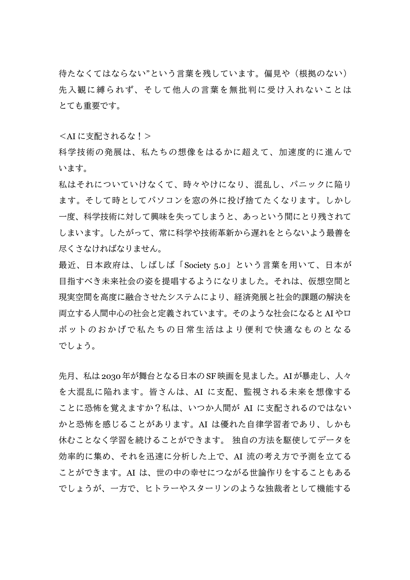待たなくてはならない"という言葉を残しています。偏見や(根拠のない) 先入観に縛られず、そして他人の言葉を無批判に受け入れないことは とても重要です。

<AI に支配されるな!>

科学技術の発展は、私たちの想像をはるかに超えて、加速度的に進んで います。

私はそれについていけなくて、時々やけになり、混乱し、パニックに陥り ます。そして時としてパソコンを窓の外に投げ捨てたくなります。しかし 一度、科学技術に対して興味を失ってしまうと、あっという間にとり残されて しまいます。したがって、常に科学や技術革新から遅れをとらないよう最善を 尽くさなければなりません。

最近、日本政府は、しばしば「Society 5.0」という言葉を用いて、日本が 目指すべき未来社会の姿を提唱するようになりました。それは、仮想空間と 現実空間を高度に融合させたシステムにより、経済発展と社会的課題の解決を 両立する人間中心の社会と定義されています。そのような社会になると AIやロ ボットのおかげで私たちの日常生活はより便利で快適なものとなる でしょう。

先月、私は 2030年が舞台となる日本の SF 映画を見ました。AIが暴走し、人々 を大混乱に陥れます。皆さんは、AI に支配、監視される未来を想像する ことに恐怖を覚えますか?私は、いつか人間が AI に支配されるのではない かと恐怖を感じることがあります。AI は優れた自律学習者であり、しかも 休むことなく学習を続けることができます。 独自の方法を駆使してデータを 効率的に集め、それを迅速に分析した上で、AI 流の考え方で予測を立てる ことができます。AI は、世の中の幸せにつながる世論作りをすることもある でしょうが、一方で、ヒトラーやスターリンのような独裁者として機能する